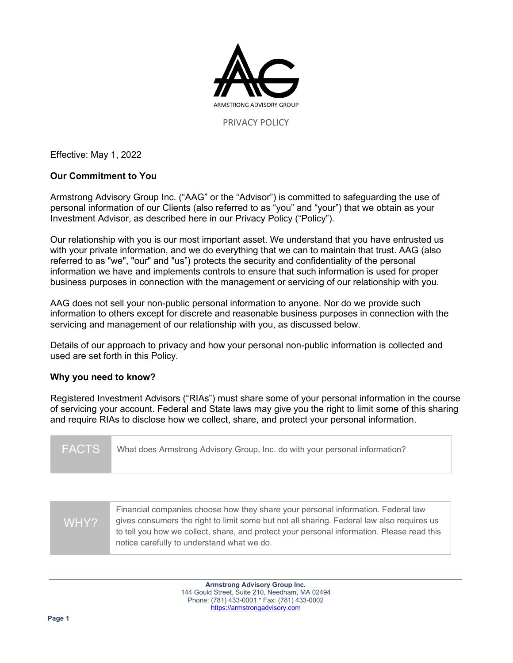

Effective: May 1, 2022

# **Our Commitment to You**

Armstrong Advisory Group Inc. ("AAG" or the "Advisor") is committed to safeguarding the use of personal information of our Clients (also referred to as "you" and "your") that we obtain as your Investment Advisor, as described here in our Privacy Policy ("Policy").

Our relationship with you is our most important asset. We understand that you have entrusted us with your private information, and we do everything that we can to maintain that trust. AAG (also referred to as "we", "our" and "us") protects the security and confidentiality of the personal information we have and implements controls to ensure that such information is used for proper business purposes in connection with the management or servicing of our relationship with you.

AAG does not sell your non-public personal information to anyone. Nor do we provide such information to others except for discrete and reasonable business purposes in connection with the servicing and management of our relationship with you, as discussed below.

Details of our approach to privacy and how your personal non-public information is collected and used are set forth in this Policy.

## **Why you need to know?**

Registered Investment Advisors ("RIAs") must share some of your personal information in the course of servicing your account. Federal and State laws may give you the right to limit some of this sharing and require RIAs to disclose how we collect, share, and protect your personal information.

| <b>FACTS</b> | What does Armstrong Advisory Group, Inc. do with your personal information? |
|--------------|-----------------------------------------------------------------------------|
|              |                                                                             |

| WHY? | Financial companies choose how they share your personal information. Federal law<br>gives consumers the right to limit some but not all sharing. Federal law also requires us |
|------|-------------------------------------------------------------------------------------------------------------------------------------------------------------------------------|
|      | to tell you how we collect, share, and protect your personal information. Please read this<br>notice carefully to understand what we do.                                      |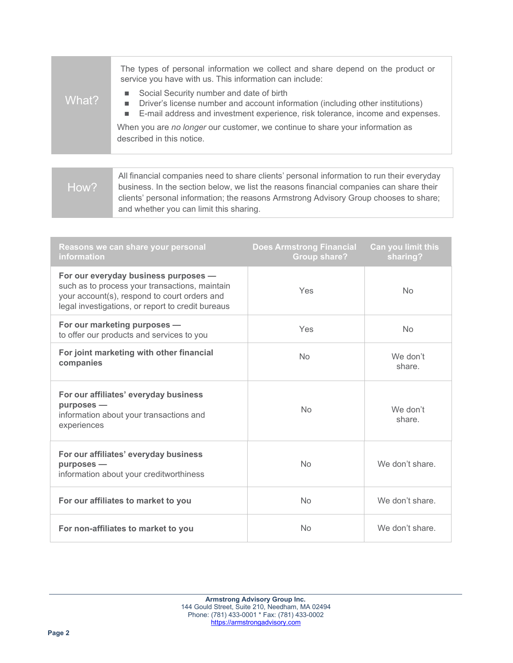| What?          | The types of personal information we collect and share depend on the product or<br>service you have with us. This information can include:<br>Social Security number and date of birth<br>Driver's license number and account information (including other institutions)<br>٠<br>E-mail address and investment experience, risk tolerance, income and expenses.<br>٠<br>When you are no longer our customer, we continue to share your information as<br>described in this notice. |
|----------------|------------------------------------------------------------------------------------------------------------------------------------------------------------------------------------------------------------------------------------------------------------------------------------------------------------------------------------------------------------------------------------------------------------------------------------------------------------------------------------|
|                |                                                                                                                                                                                                                                                                                                                                                                                                                                                                                    |
| $\blacksquare$ | All financial companies need to share clients' personal information to run their everyday<br>kuningga ing tagaping kalawi ya list tha mga ang finangial gampaniga ang akang thain                                                                                                                                                                                                                                                                                                  |

business. In the section below, we list the reasons financial companies can share their clients' personal information; the reasons Armstrong Advisory Group chooses to share; and whether you can limit this sharing. How?

| Reasons we can share your personal<br>information                                                                                                                                           | <b>Does Armstrong Financial</b><br><b>Group share?</b> | Can you limit this<br>sharing? |
|---------------------------------------------------------------------------------------------------------------------------------------------------------------------------------------------|--------------------------------------------------------|--------------------------------|
| For our everyday business purposes -<br>such as to process your transactions, maintain<br>your account(s), respond to court orders and<br>legal investigations, or report to credit bureaus | Yes                                                    | <b>No</b>                      |
| For our marketing purposes -<br>to offer our products and services to you                                                                                                                   | Yes                                                    | <b>No</b>                      |
| For joint marketing with other financial<br>companies                                                                                                                                       | <b>No</b>                                              | We don't<br>share.             |
| For our affiliates' everyday business<br>purposes -<br>information about your transactions and<br>experiences                                                                               | <b>No</b>                                              | We don't<br>share.             |
| For our affiliates' everyday business<br>purposes -<br>information about your creditworthiness                                                                                              | <b>No</b>                                              | We don't share.                |
| For our affiliates to market to you                                                                                                                                                         | <b>No</b>                                              | We don't share.                |
| For non-affiliates to market to you                                                                                                                                                         | No                                                     | We don't share.                |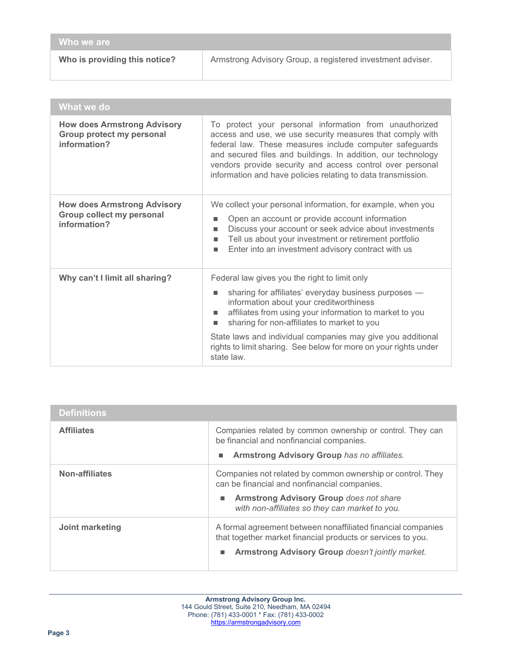| Who we are                    |                                                            |
|-------------------------------|------------------------------------------------------------|
| Who is providing this notice? | Armstrong Advisory Group, a registered investment adviser. |

| What we do                                                                      |                                                                                                                                                                                                                                                                                                                                                                                                                       |
|---------------------------------------------------------------------------------|-----------------------------------------------------------------------------------------------------------------------------------------------------------------------------------------------------------------------------------------------------------------------------------------------------------------------------------------------------------------------------------------------------------------------|
| <b>How does Armstrong Advisory</b><br>Group protect my personal<br>information? | To protect your personal information from unauthorized<br>access and use, we use security measures that comply with<br>federal law. These measures include computer safeguards<br>and secured files and buildings. In addition, our technology<br>vendors provide security and access control over personal<br>information and have policies relating to data transmission.                                           |
| <b>How does Armstrong Advisory</b><br>Group collect my personal<br>information? | We collect your personal information, for example, when you<br>Open an account or provide account information<br>п<br>Discuss your account or seek advice about investments<br>ш<br>Tell us about your investment or retirement portfolio<br>ш<br>Enter into an investment advisory contract with us<br>$\blacksquare$                                                                                                |
| Why can't I limit all sharing?                                                  | Federal law gives you the right to limit only<br>sharing for affiliates' everyday business purposes -<br>п<br>information about your creditworthiness<br>affiliates from using your information to market to you<br>п<br>sharing for non-affiliates to market to you<br>State laws and individual companies may give you additional<br>rights to limit sharing. See below for more on your rights under<br>state law. |

| <b>Definitions</b> |                                                                                                                                                                                                                     |
|--------------------|---------------------------------------------------------------------------------------------------------------------------------------------------------------------------------------------------------------------|
| <b>Affiliates</b>  | Companies related by common ownership or control. They can<br>be financial and nonfinancial companies.<br>Armstrong Advisory Group has no affiliates.<br>ш                                                          |
| Non-affiliates     | Companies not related by common ownership or control. They<br>can be financial and nonfinancial companies.<br><b>Armstrong Advisory Group does not share</b><br>ш<br>with non-affiliates so they can market to you. |
| Joint marketing    | A formal agreement between nonaffiliated financial companies<br>that together market financial products or services to you.<br>Armstrong Advisory Group doesn't jointly market.<br>п                                |